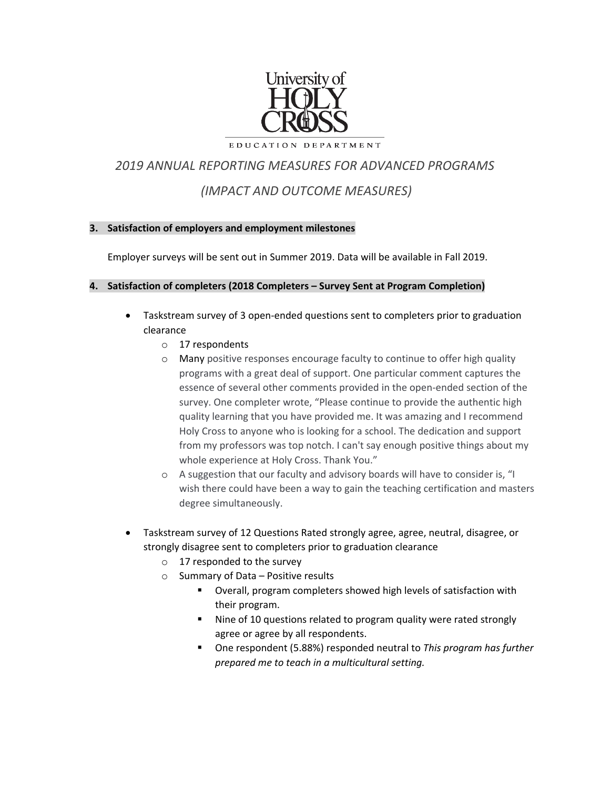

EDUCATION DEPARTMENT

# *2019 ANNUAL REPORTING MEASURES FOR ADVANCED PROGRAMS (IMPACT AND OUTCOME MEASURES)*

## **3. Satisfaction of employers and employment milestones**

Employer surveys will be sent out in Summer 2019. Data will be available in Fall 2019.

## **4. Satisfaction of completers (2018 Completers – Survey Sent at Program Completion)**

- Taskstream survey of 3 open-ended questions sent to completers prior to graduation clearance
	- o 17 respondents
	- o Many positive responses encourage faculty to continue to offer high quality programs with a great deal of support. One particular comment captures the essence of several other comments provided in the open-ended section of the survey. One completer wrote, "Please continue to provide the authentic high quality learning that you have provided me. It was amazing and I recommend Holy Cross to anyone who is looking for a school. The dedication and support from my professors was top notch. I can't say enough positive things about my whole experience at Holy Cross. Thank You."
	- o A suggestion that our faculty and advisory boards will have to consider is, "I wish there could have been a way to gain the teaching certification and masters degree simultaneously.
- Taskstream survey of 12 Questions Rated strongly agree, agree, neutral, disagree, or strongly disagree sent to completers prior to graduation clearance
	- o 17 responded to the survey
	- o Summary of Data Positive results
		- **Diamage 1** Overall, program completers showed high levels of satisfaction with their program.
		- Nine of 10 questions related to program quality were rated strongly agree or agree by all respondents.
		- One respondent (5.88%) responded neutral to *This program has further prepared me to teach in a multicultural setting.*